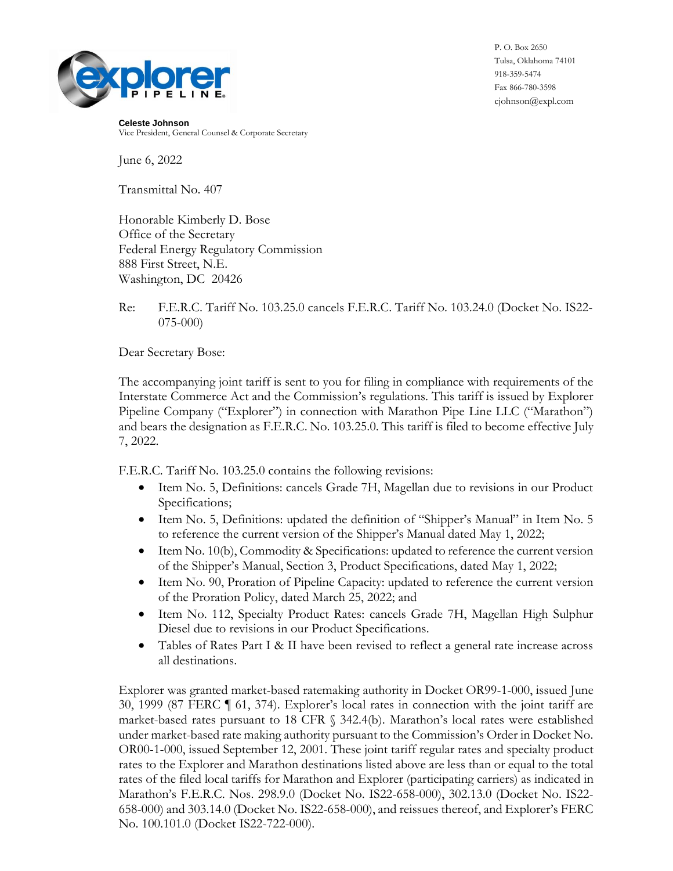

P. O. Box 2650 Tulsa, Oklahoma 74101 918-359-5474 Fax 866-780-3598 cjohnson@expl.com

**Celeste Johnson** Vice President, General Counsel & Corporate Secretary

June 6, 2022

Transmittal No. 407

Honorable Kimberly D. Bose Office of the Secretary Federal Energy Regulatory Commission 888 First Street, N.E. Washington, DC 20426

Re: F.E.R.C. Tariff No. 103.25.0 cancels F.E.R.C. Tariff No. 103.24.0 (Docket No. IS22- 075-000)

Dear Secretary Bose:

The accompanying joint tariff is sent to you for filing in compliance with requirements of the Interstate Commerce Act and the Commission's regulations. This tariff is issued by Explorer Pipeline Company ("Explorer") in connection with Marathon Pipe Line LLC ("Marathon") and bears the designation as F.E.R.C. No. 103.25.0. This tariff is filed to become effective July 7, 2022.

F.E.R.C. Tariff No. 103.25.0 contains the following revisions:

- Item No. 5, Definitions: cancels Grade 7H, Magellan due to revisions in our Product Specifications;
- Item No. 5, Definitions: updated the definition of "Shipper's Manual" in Item No. 5 to reference the current version of the Shipper's Manual dated May 1, 2022;
- Item No. 10(b), Commodity & Specifications: updated to reference the current version of the Shipper's Manual, Section 3, Product Specifications, dated May 1, 2022;
- Item No. 90, Proration of Pipeline Capacity: updated to reference the current version of the Proration Policy, dated March 25, 2022; and
- Item No. 112, Specialty Product Rates: cancels Grade 7H, Magellan High Sulphur Diesel due to revisions in our Product Specifications.
- Tables of Rates Part I & II have been revised to reflect a general rate increase across all destinations.

Explorer was granted market-based ratemaking authority in Docket OR99-1-000, issued June 30, 1999 (87 FERC ¶ 61, 374). Explorer's local rates in connection with the joint tariff are market-based rates pursuant to 18 CFR § 342.4(b). Marathon's local rates were established under market-based rate making authority pursuant to the Commission's Order in Docket No. OR00-1-000, issued September 12, 2001. These joint tariff regular rates and specialty product rates to the Explorer and Marathon destinations listed above are less than or equal to the total rates of the filed local tariffs for Marathon and Explorer (participating carriers) as indicated in Marathon's F.E.R.C. Nos. 298.9.0 (Docket No. IS22-658-000), 302.13.0 (Docket No. IS22- 658-000) and 303.14.0 (Docket No. IS22-658-000), and reissues thereof, and Explorer's FERC No. 100.101.0 (Docket IS22-722-000).